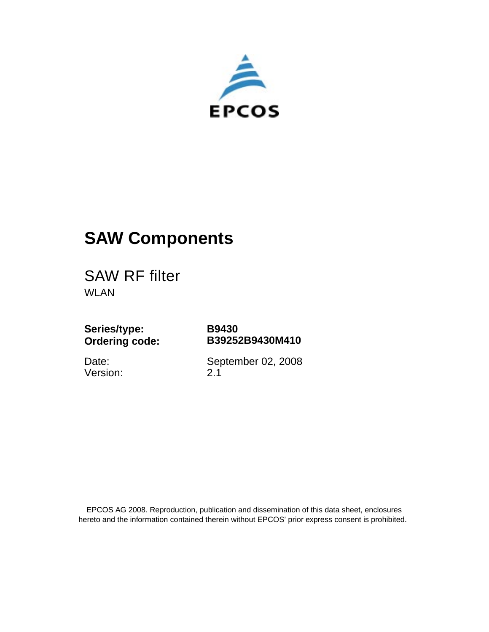

# **SAW Components**

SAW RF filter WLAN

**Series/type: Ordering code:** **B9430 B39252B9430M410**

Date: Version: September 02, 2008 2.1

 EPCOS AG 2008. Reproduction, publication and dissemination of this data sheet, enclosures hereto and the information contained therein without EPCOS' prior express consent is prohibited.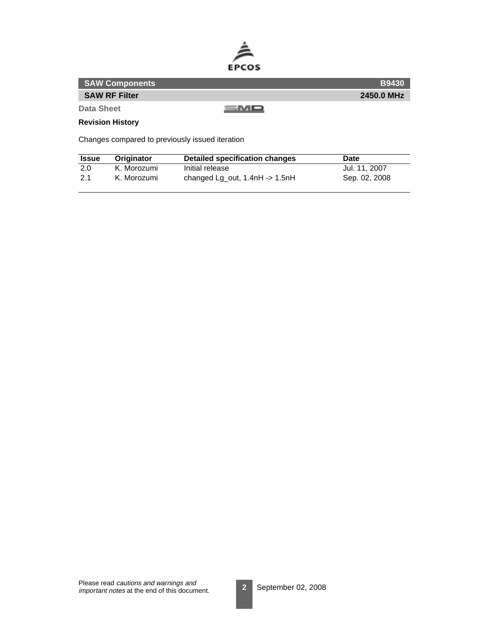

| <b>SAW Components</b> | <b>B9430</b> |
|-----------------------|--------------|
| <b>SAW RF Filter</b>  | 2450.0 MHz   |
| Data Sheet            | s Mo         |

**Revision History**

Changes compared to previously issued iteration

| <b>Issue</b> | <b>Originator</b> | Detailed specification changes       | Date          |
|--------------|-------------------|--------------------------------------|---------------|
| 2.0          | K. Morozumi       | Initial release                      | Jul. 11. 2007 |
| 2.1          | K. Morozumi       | changed Lg_out, $1.4$ nH -> $1.5$ nH | Sep. 02, 2008 |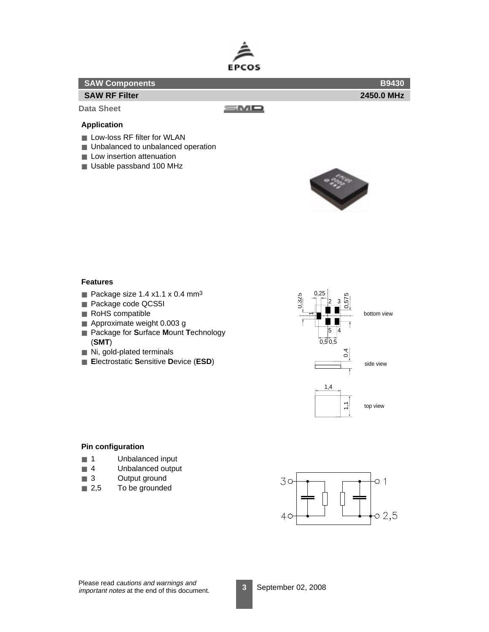

| <b>SAW Components</b> |      | <b>B9430</b> |
|-----------------------|------|--------------|
| <b>SAW RF Filter</b>  |      | 2450.0 MHz   |
| Data Sheet            | 5MQ. |              |
| <b>Application</b>    |      |              |

- Low-loss RF filter for WLAN
- Unbalanced to unbalanced operation
- Low insertion attenuation
- Usable passband 100 MHz



# **Features**

- Package size 1.4 x1.1 x 0.4 mm<sup>3</sup>
- Package code QCS5I
- RoHS compatible
- Approximate weight 0.003 g
- Package for **S**urface **Mount Technology** (**SMT**)
- Ni, gold-plated terminals
- **E**lectrostatic **S**ensitive **D**evice (**ESD**)



#### **Pin configuration**

- 1 Unbalanced input
- 4 Unbalanced output
- 3 Output ground
- 2,5 To be grounded

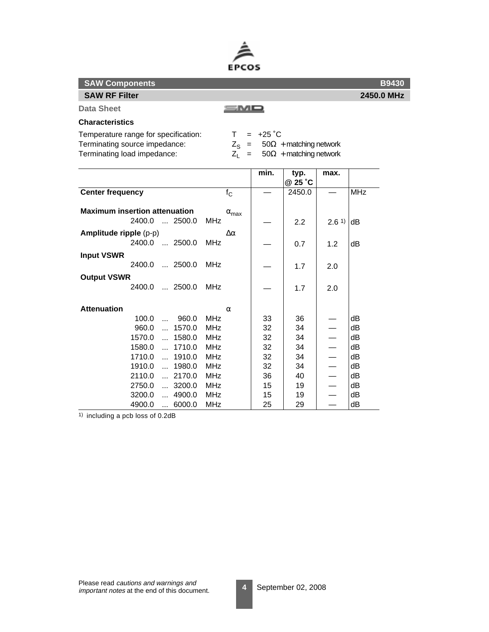

| <b>SAW Components</b>                                                                                |                              |                           |                                                                                       |      |            | <b>B9430</b> |
|------------------------------------------------------------------------------------------------------|------------------------------|---------------------------|---------------------------------------------------------------------------------------|------|------------|--------------|
| <b>SAW RF Filter</b>                                                                                 |                              |                           |                                                                                       |      |            | 2450.0 MHz   |
| <b>Data Sheet</b>                                                                                    |                              |                           |                                                                                       |      |            |              |
| <b>Characteristics</b>                                                                               |                              |                           |                                                                                       |      |            |              |
| Temperature range for specification:<br>Terminating source impedance:<br>Terminating load impedance: | T.<br>$Z_1 =$                | $= +25 \degree C$<br>min. | $Z_{\rm S}$ = 50 $\Omega$ + matching network<br>$50\Omega$ + matching network<br>typ. | max. |            |              |
|                                                                                                      |                              |                           | @ 25 °C                                                                               |      |            |              |
| <b>Center frequency</b>                                                                              | $f_{\rm C}$                  |                           | 2450.0                                                                                |      | <b>MHz</b> |              |
| <b>Maximum insertion attenuation</b><br>2400.0<br>$\ldots$ 2500.0                                    | $\alpha_{\text{max}}$<br>MHz |                           | 2.2                                                                                   | 2.61 | dB         |              |
| $A$ mnlitude rinnle $(n-n)$                                                                          | $\Lambda$ $\alpha$           |                           |                                                                                       |      |            |              |

|                        |                                |                 |    | <u>_._</u> | <u>J</u> | ◡  |
|------------------------|--------------------------------|-----------------|----|------------|----------|----|
| Amplitude ripple (p-p) |                                | $\Delta \alpha$ |    |            |          |    |
| 2400.0                 | $\dots$ 2500.0                 | MHz             |    | 0.7        | 1.2      | dВ |
| <b>Input VSWR</b>      |                                |                 |    |            |          |    |
| 2400.0                 | $\dots$ 2500.0                 | <b>MHz</b>      |    | 1.7        | 2.0      |    |
| <b>Output VSWR</b>     |                                |                 |    |            |          |    |
| 2400.0                 | $\ldots$ 2500.0                | MHz             |    | 1.7        | 2.0      |    |
|                        |                                |                 |    |            |          |    |
| <b>Attenuation</b>     |                                | $\alpha$        |    |            |          |    |
| 100.0                  | 960.0<br>$\ddotsc$             | MHz             | 33 | 36         |          | dВ |
| 960.0                  | 1570.0<br>$\ddotsc$            | <b>MHz</b>      | 32 | 34         |          | dВ |
| 1570.0                 | 1580.0<br>$\ddot{\phantom{a}}$ | <b>MHz</b>      | 32 | 34         |          | dB |
| 1580.0                 | 1710.0<br>$\mathbf{a}$         | MHz             | 32 | 34         |          | dB |
| 1710.0                 | 1910.0<br>$\mathbf{a}$         | MHz             | 32 | 34         |          | dB |
| 1910.0                 | 1980.0<br>$\ddotsc$            | <b>MHz</b>      | 32 | 34         |          | dB |
| 2110.0                 | $\dots$ 2170.0                 | MHz             | 36 | 40         |          | dВ |
| 2750.0                 | 3200.0<br>$\ddotsc$            | <b>MHz</b>      | 15 | 19         |          | dВ |
| 3200.0                 | 4900.0<br>$\ddotsc$            | MHz             | 15 | 19         |          | dВ |
| 4900.0                 | 6000.0<br>$\cdots$             | <b>MHz</b>      | 25 | 29         |          | dB |

 $\overline{1}$ ) including a pcb loss of 0.2dB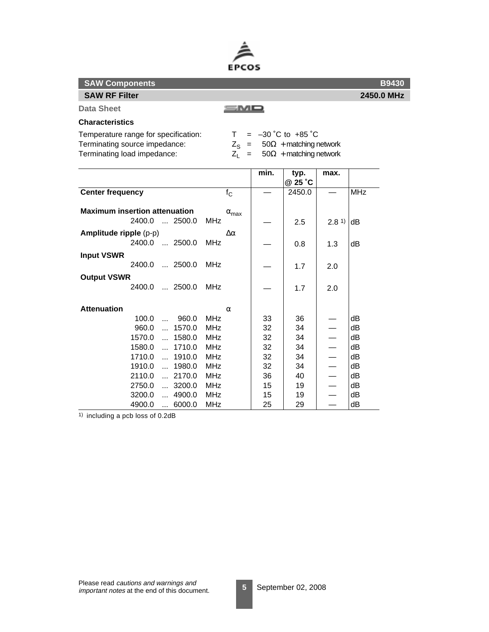

100.0 ... 960.0 MHz  $\begin{array}{|c|c|c|c|c|c|} \hline \end{array}$  33  $\begin{array}{|c|c|c|c|c|} \hline \end{array}$  36  $\begin{array}{|c|c|c|c|c|} \hline \end{array}$  dB 960.0 ... 1570.0 MHz  $\begin{array}{|c|c|c|c|c|c|} \hline 32 & 34 & \\\hline \end{array}$   $\begin{array}{|c|c|c|c|c|c|c|c|c|} \hline 34 & \begin{array}{|c|c|c|c|c|c|} \hline 34 & \begin{array}{|c|c|c|c|c|} \hline 34 & \begin{array}{|c|c|c|c|c|} \hline 34 & \begin{array}{|c|c|c|c|} \hline \end{array} & \hline \end{array} & \begin{array}{|c|c|c|c|c|c|}$ 1570.0 ... 1580.0 MHz  $\begin{vmatrix} 32 & 34 \end{vmatrix}$   $\begin{vmatrix} -2 & 34 \end{vmatrix}$   $\begin{vmatrix} -2 & 34 \end{vmatrix}$ 1580.0 ... 1710.0 MHz  $\begin{array}{|c|c|c|c|c|c|} \hline \end{array}$  32  $\begin{array}{|c|c|c|c|c|} \hline \end{array}$  34  $\begin{array}{|c|c|c|c|c|} \hline \end{array}$  dB 1710.0 ... 1910.0 MHz  $\begin{array}{|c|c|c|c|c|c|} \hline 132 & 34 & \\\hline \end{array}$   $\begin{array}{|c|c|c|c|c|c|} \hline 34 & \begin{array}{|c|c|c|c|c|} \hline -& & \hline & \hline & \hline \end{array}$ 1910.0 ... 1980.0 MHz  $\begin{array}{|c|c|c|c|c|c|} \hline 1 & 34 & - & \text{dB} \end{array}$ 2110.0 ... 2170.0 MHz  $\begin{array}{|c|c|c|c|c|c|} \hline \end{array}$  36  $\begin{array}{|c|c|c|c|c|} \hline \end{array}$  40  $\begin{array}{|c|c|c|c|c|} \hline \end{array}$  dB 2750.0 ... 3200.0 MHz  $\begin{vmatrix} 15 & 19 \end{vmatrix}$  19  $\begin{vmatrix} -18 & 19 \end{vmatrix}$  $3200.0$  ... 4900.0 MHz  $\begin{vmatrix} 15 & 19 \end{vmatrix}$  19  $\begin{vmatrix} -16 & 19 \end{vmatrix}$ 4900.0 ... 6000.0 MHz  $|25|29| - |\text{dB}$ 

|      | <b>B9430</b> |
|------|--------------|
|      | 2450.0 MHz   |
| — МО |              |

#### **Characteristics**

**Data Sheet**

**SAW Components SAW RF Filter**

Temperature range for specification:  $T = -30$  °C to +85 °C

**Attenuation** α

| Terminating source impedance:<br>Terminating load impedance:     | $Z_{\rm s}$ =<br>$Z_1 =$     |      | $50\Omega$ + matching network<br>$50\Omega$ + matching network |      |            |
|------------------------------------------------------------------|------------------------------|------|----------------------------------------------------------------|------|------------|
|                                                                  |                              | min. | typ.<br>@ 25 °C                                                | max. |            |
| <b>Center frequency</b>                                          | $f_{\rm C}$                  |      | 2450.0                                                         |      | <b>MHz</b> |
| <b>Maximum insertion attenuation</b><br>2400.0<br>$\dots$ 2500.0 | $\alpha_{\text{max}}$<br>MHz |      | 2.5                                                            | 2.81 | dB         |
| Amplitude ripple (p-p)<br>2400.0  2500.0                         | Δα<br>MHz                    |      | 0.8                                                            | 1.3  | dB         |
| <b>Input VSWR</b><br>$\ldots$ 2500.0<br>2400.0                   | MH <sub>7</sub>              |      | 1.7                                                            | 2.0  |            |
| <b>Output VSWR</b><br>$\ldots$ 2500.0<br>2400.0                  | MHz                          |      | 1.7                                                            | 2.0  |            |

1) including a pcb loss of 0.2dB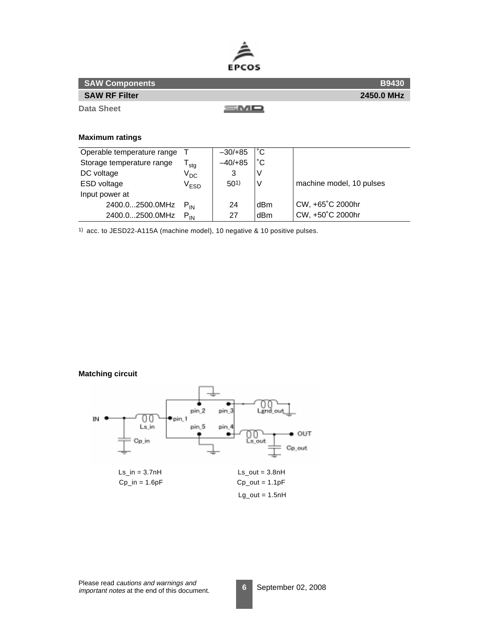

| <b>SAW Components</b> | <b>B9430</b> |
|-----------------------|--------------|
| <b>SAW RF Filter</b>  | 2450.0 MHz   |
| Data Sheet            | =MD          |

## **Maximum ratings**

| Operable temperature range |               | $-30/+85$       | °С  |                          |
|----------------------------|---------------|-----------------|-----|--------------------------|
| Storage temperature range  | stg           | $-40/+85$       | °С  |                          |
| DC voltage                 | $V_{DC}$      | 3               | V   |                          |
| ESD voltage                | $\rm V_{ESD}$ | 50 <sup>1</sup> | ν   | machine model, 10 pulses |
| Input power at             |               |                 |     |                          |
| 2400.02500.0MHz            | $P_{IN}$      | 24              | dBm | CW, +65°C 2000hr         |
| 2400.02500.0MHz            | $P_{IN}$      | 27              | dBm | CW, +50°C 2000hr         |

1) acc. to JESD22-A115A (machine model), 10 negative & 10 positive pulses.

**Matching circuit**

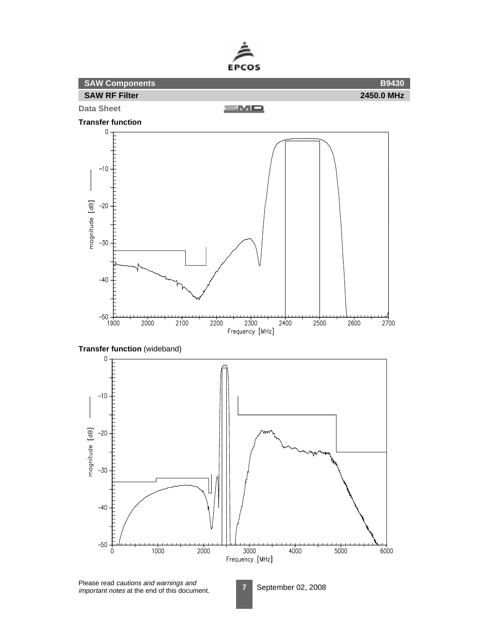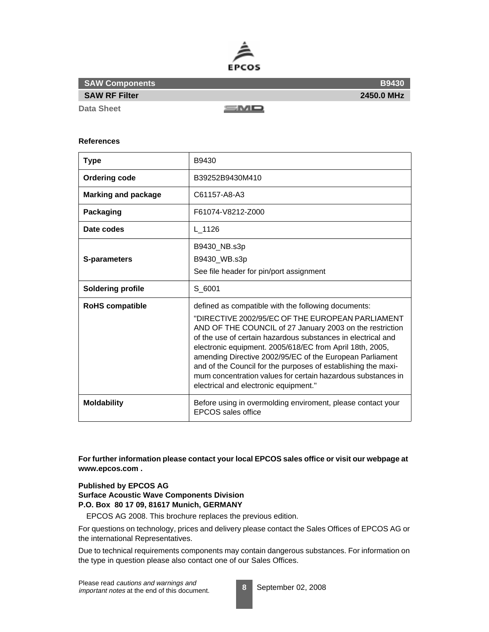

**B9430**

**Data Sheet**

sмо

#### **References**

| <b>Type</b>                | B9430                                                                                                                                                                                                                                                                                                                                                                                                                                                                                                                                 |
|----------------------------|---------------------------------------------------------------------------------------------------------------------------------------------------------------------------------------------------------------------------------------------------------------------------------------------------------------------------------------------------------------------------------------------------------------------------------------------------------------------------------------------------------------------------------------|
| <b>Ordering code</b>       | B39252B9430M410                                                                                                                                                                                                                                                                                                                                                                                                                                                                                                                       |
| <b>Marking and package</b> | C61157-A8-A3                                                                                                                                                                                                                                                                                                                                                                                                                                                                                                                          |
| <b>Packaging</b>           | F61074-V8212-Z000                                                                                                                                                                                                                                                                                                                                                                                                                                                                                                                     |
| Date codes                 | L 1126                                                                                                                                                                                                                                                                                                                                                                                                                                                                                                                                |
| S-parameters               | B9430_NB.s3p<br>B9430 WB.s3p<br>See file header for pin/port assignment                                                                                                                                                                                                                                                                                                                                                                                                                                                               |
| Soldering profile          | S 6001                                                                                                                                                                                                                                                                                                                                                                                                                                                                                                                                |
| <b>RoHS compatible</b>     | defined as compatible with the following documents:<br>"DIRECTIVE 2002/95/EC OF THE EUROPEAN PARLIAMENT<br>AND OF THE COUNCIL of 27 January 2003 on the restriction<br>of the use of certain hazardous substances in electrical and<br>electronic equipment. 2005/618/EC from April 18th, 2005,<br>amending Directive 2002/95/EC of the European Parliament<br>and of the Council for the purposes of establishing the maxi-<br>mum concentration values for certain hazardous substances in<br>electrical and electronic equipment." |
| <b>Moldability</b>         | Before using in overmolding enviroment, please contact your<br><b>EPCOS</b> sales office                                                                                                                                                                                                                                                                                                                                                                                                                                              |

**For further information please contact your local EPCOS sales office or visit our webpage at www.epcos.com .**

### **Published by EPCOS AG**

**Surface Acoustic Wave Components Division P.O. Box 80 17 09, 81617 Munich, GERMANY**

EPCOS AG 2008. This brochure replaces the previous edition.

For questions on technology, prices and delivery please contact the Sales Offices of EPCOS AG or the international Representatives.

Due to technical requirements components may contain dangerous substances. For information on the type in question please also contact one of our Sales Offices.